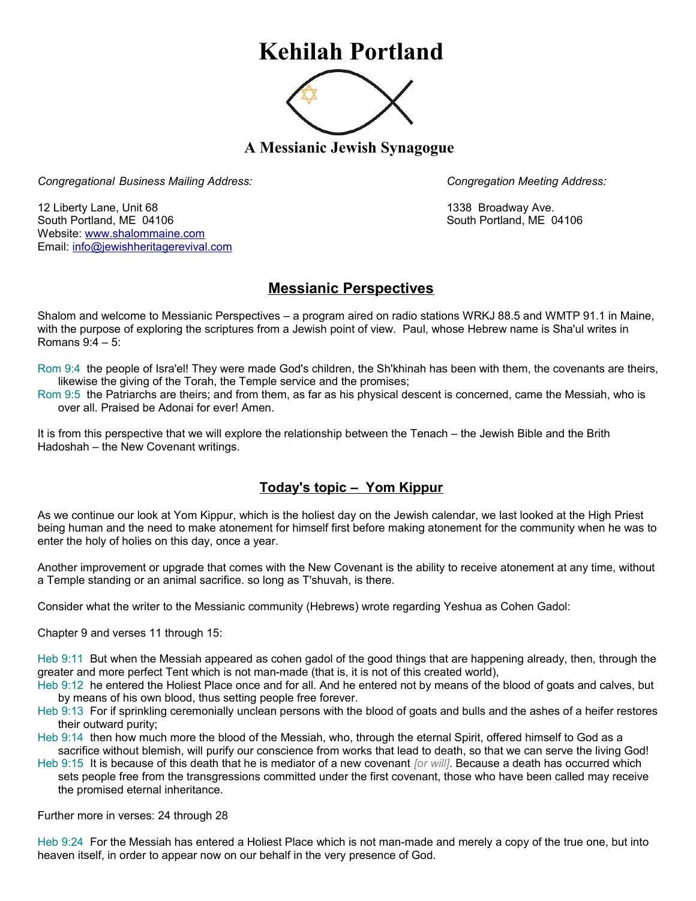## **Kehilah Portland**



**A Messianic Jewish Synagogue** 

*Congregational Business Mailing Address: Congregation Meeting Address:*

12 Liberty Lane, Unit 68 1338 Broadway Ave. South Portland, ME 04106 South Portland, ME 04106 Website: [www.shalommaine.com](http://www.shalommaine.com/) Email: [info@jewishheritagerevival.com](mailto:info@jewishheritagerevival.com) 

## **Messianic Perspectives**

Shalom and welcome to Messianic Perspectives – a program aired on radio stations WRKJ 88.5 and WMTP 91.1 in Maine, with the purpose of exploring the scriptures from a Jewish point of view. Paul, whose Hebrew name is Sha'ul writes in Romans 9:4 – 5:

Rom 9:4 the people of Isra'el! They were made God's children, the Sh'khinah has been with them, the covenants are theirs, likewise the giving of the Torah, the Temple service and the promises;

Rom 9:5 the Patriarchs are theirs; and from them, as far as his physical descent is concerned, came the Messiah, who is over all. Praised be Adonai for ever! Amen.

It is from this perspective that we will explore the relationship between the Tenach – the Jewish Bible and the Brith Hadoshah – the New Covenant writings.

## **Today's topic – Yom Kippur**

As we continue our look at Yom Kippur, which is the holiest day on the Jewish calendar, we last looked at the High Priest being human and the need to make atonement for himself first before making atonement for the community when he was to enter the holy of holies on this day, once a year.

Another improvement or upgrade that comes with the New Covenant is the ability to receive atonement at any time, without a Temple standing or an animal sacrifice. so long as T'shuvah, is there.

Consider what the writer to the Messianic community (Hebrews) wrote regarding Yeshua as Cohen Gadol:

Chapter 9 and verses 11 through 15:

Heb 9:11 But when the Messiah appeared as cohen gadol of the good things that are happening already, then, through the greater and more perfect Tent which is not man-made (that is, it is not of this created world),

Heb 9:12 he entered the Holiest Place once and for all. And he entered not by means of the blood of goats and calves, but by means of his own blood, thus setting people free forever.

Heb 9:13 For if sprinkling ceremonially unclean persons with the blood of goats and bulls and the ashes of a heifer restores their outward purity;

Heb 9:14 then how much more the blood of the Messiah, who, through the eternal Spirit, offered himself to God as a sacrifice without blemish, will purify our conscience from works that lead to death, so that we can serve the living God!

Heb 9:15 It is because of this death that he is mediator of a new covenant *[or will]*. Because a death has occurred which sets people free from the transgressions committed under the first covenant, those who have been called may receive the promised eternal inheritance.

Further more in verses: 24 through 28

Heb 9:24 For the Messiah has entered a Holiest Place which is not man-made and merely a copy of the true one, but into heaven itself, in order to appear now on our behalf in the very presence of God.